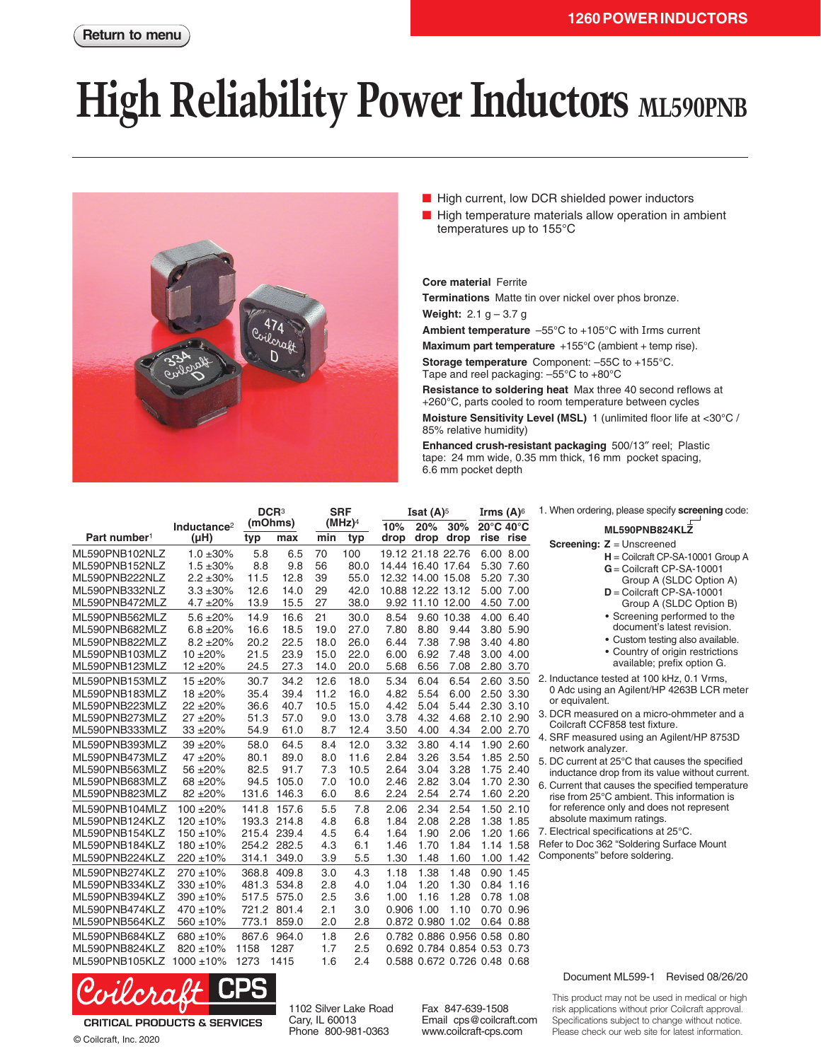## **High Reliability Power Inductors** ML590PNB



- High current, low DCR shielded power inductors
- High temperature materials allow operation in ambient temperatures up to 155°C

**Core material** Ferrite

**Terminations** Matte tin over nickel over phos bronze.

**Weight:** 2.1 g – 3.7 g

**Ambient temperature** –55°C to +105°C with Irms current

**Maximum part temperature** +155°C (ambient + temp rise).

**Storage temperature** Component: –55C to +155°C. Tape and reel packaging: –55°C to +80°C

**Resistance to soldering heat** Max three 40 second reflows at +260°C, parts cooled to room temperature between cycles

**Moisture Sensitivity Level (MSL)** 1 (unlimited floor life at <30°C / 85% relative humidity)

**Enhanced crush-resistant packaging** 500/13″ reel; Plastic tape: 24 mm wide, 0.35 mm thick, 16 mm pocket spacing, 6.6 mm pocket depth

|                                                                      |                                                                  | DCR <sup>3</sup><br>(mOhms)  |                                           | <b>SRF</b><br>(MHz) <sup>4</sup> |                              | Isat $(A)^5$                           |                                        |                                                            | Irms $(A)^\circ$                            |           | 1. When ordering, please specify screening code:                                                                                                                                                                                                                                                                                                                                                            |
|----------------------------------------------------------------------|------------------------------------------------------------------|------------------------------|-------------------------------------------|----------------------------------|------------------------------|----------------------------------------|----------------------------------------|------------------------------------------------------------|---------------------------------------------|-----------|-------------------------------------------------------------------------------------------------------------------------------------------------------------------------------------------------------------------------------------------------------------------------------------------------------------------------------------------------------------------------------------------------------------|
| Part number <sup>1</sup>                                             | Inductance <sup>2</sup><br>$(\mu H)$                             | typ                          | max                                       | min                              | typ                          | 10%<br>drop                            | 20%<br>drop drop                       | 30%                                                        | $20^{\circ}$ C 40 $^{\circ}$ C<br>rise rise |           | ML590PNB824KLZ                                                                                                                                                                                                                                                                                                                                                                                              |
| ML590PNB102NLZ<br>ML590PNB152NLZ                                     | $1.0 \pm 30\%$<br>$1.5 \pm 30\%$                                 | 5.8<br>8.8                   | 6.5<br>9.8                                | 70<br>56                         | 100<br>80.0                  | 19.12 21.18 22.76<br>14.44 16.40 17.64 |                                        |                                                            | 6.00 8.00<br>5.30 7.60                      |           | <b>Screening: <math>Z =</math></b> Unscreened<br>$H =$ Coilcraft CP-SA-10001 Group A<br>$G =$ Coilcraft CP-SA-10001                                                                                                                                                                                                                                                                                         |
| ML590PNB222NLZ<br>ML590PNB332NLZ<br>ML590PNB472MLZ                   | $2.2 \pm 30\%$<br>$3.3 + 30\%$<br>$4.7 \pm 20\%$                 | 11.5<br>12.6<br>13.9         | 12.8<br>14.0<br>15.5                      | 39<br>29<br>27                   | 55.0<br>42.0<br>38.0         | 12.32 14.00 15.08<br>10.88 12.22 13.12 | 9.92 11.10 12.00                       |                                                            | 5.20 7.30<br>5.00 7.00<br>4.50 7.00         |           | Group A (SLDC Option A)<br>$D =$ Coilcraft CP-SA-10001<br>Group A (SLDC Option B)                                                                                                                                                                                                                                                                                                                           |
| ML590PNB562MLZ<br>ML590PNB682MLZ<br>ML590PNB822MLZ<br>ML590PNB103MLZ | $5.6 \pm 20\%$<br>$6.8 \pm 20\%$<br>$8.2 \pm 20\%$<br>$10 + 20%$ | 14.9<br>16.6<br>20.2<br>21.5 | 16.6<br>18.5<br>22.5<br>23.9              | 21<br>19.0<br>18.0<br>15.0       | 30.0<br>27.0<br>26.0<br>22.0 | 8.54<br>7.80<br>6.44<br>6.00           | 8.80<br>7.38<br>6.92                   | 9.60 10.38<br>9.44<br>7.98<br>7.48                         | 4.00 6.40<br>3.80 5.90<br>3.00 4.00         | 3.40 4.80 | • Screening performed to the<br>document's latest revision.<br>• Custom testing also available.<br>• Country of origin restrictions<br>available; prefix option G.<br>2. Inductance tested at 100 kHz, 0.1 Vrms,<br>0 Adc using an Agilent/HP 4263B LCR meter<br>or equivalent.<br>3. DCR measured on a micro-ohmmeter and a<br>Coilcraft CCF858 test fixture.<br>4. SRF measured using an Agilent/HP 8753D |
| ML590PNB123MLZ<br>ML590PNB153MLZ                                     | $12 + 20%$<br>$15 + 20%$                                         | 24.5<br>30.7                 | 27.3<br>34.2                              | 14.0<br>12.6                     | 20.0<br>18.0                 | 5.68<br>5.34                           | 6.56<br>6.04                           | 7.08<br>6.54                                               | 2.80 3.70<br>2.60                           | 3.50      |                                                                                                                                                                                                                                                                                                                                                                                                             |
| ML590PNB183MLZ<br>ML590PNB223MLZ                                     | 18 ±20%<br>$22 + 20%$                                            | 35.4<br>36.6                 | 39.4<br>40.7                              | 11.2<br>10.5                     | 16.0<br>15.0                 | 4.82<br>4.42                           | 5.54<br>5.04                           | 6.00<br>5.44                                               | 2.50 3.30<br>2.30 3.10                      |           |                                                                                                                                                                                                                                                                                                                                                                                                             |
| ML590PNB273MLZ<br>ML590PNB333MLZ<br>ML590PNB393MLZ                   | $27 + 20%$<br>$33 + 20%$<br>$39 + 20%$                           | 51.3<br>54.9<br>58.0         | 57.0<br>61.0<br>64.5                      | 9.0<br>8.7<br>8.4                | 13.0<br>12.4<br>12.0         | 3.78<br>3.50<br>3.32                   | 4.32<br>4.00<br>3.80                   | 4.68<br>4.34<br>4.14                                       | 2.10 2.90<br>2.00 2.70<br>1.90 2.60         |           |                                                                                                                                                                                                                                                                                                                                                                                                             |
| ML590PNB473MLZ<br>ML590PNB563MLZ                                     | 47 ±20%<br>56 ±20%                                               | 80.1<br>82.5                 | 89.0<br>91.7                              | 8.0<br>7.3                       | 11.6<br>10.5                 | 2.84<br>2.64                           | 3.26<br>3.04                           | 3.54<br>3.28                                               | 1.85 2.50<br>1.75 2.40                      |           | network analyzer.<br>5. DC current at 25°C that causes the specified<br>inductance drop from its value without current.                                                                                                                                                                                                                                                                                     |
| ML590PNB683MLZ<br>ML590PNB823MLZ                                     | 68 ±20%<br>82 ±20%                                               | 94.5<br>131.6                | 105.0<br>146.3                            | 7.0<br>6.0                       | 10.0<br>8.6                  | 2.46<br>2.24                           | 2.82<br>2.54                           | 3.04<br>2.74                                               | 1.70 2.30<br>1.60 2.20                      |           | 6. Current that causes the specified temperature<br>rise from 25°C ambient. This information is                                                                                                                                                                                                                                                                                                             |
| ML590PNB104MLZ<br>ML590PNB124KLZ<br>ML590PNB154KLZ                   | $100 + 20%$<br>$120 \pm 10\%$<br>$150 + 10%$                     |                              | 141.8 157.6<br>193.3 214.8<br>215.4 239.4 | 5.5<br>4.8<br>4.5                | 7.8<br>6.8<br>6.4            | 2.06<br>1.84<br>1.64                   | 2.34<br>2.08<br>1.90                   | 2.54<br>2.28<br>2.06                                       | 1.50 2.10<br>1.38 1.85<br>1.20 1.66         |           | for reference only and does not represent<br>absolute maximum ratings.<br>7. Electrical specifications at 25°C.                                                                                                                                                                                                                                                                                             |
| ML590PNB184KLZ<br>ML590PNB224KLZ                                     | $180 + 10%$<br>$220 \pm 10\%$                                    | 314.1                        | 254.2 282.5<br>349.0                      | 4.3<br>3.9                       | 6.1<br>5.5                   | 1.46<br>1.30                           | 1.70<br>1.48                           | 1.84<br>1.60                                               | 1.14 1.58                                   | 1.00 1.42 | Refer to Doc 362 "Soldering Surface Mount<br>Components" before soldering.                                                                                                                                                                                                                                                                                                                                  |
| ML590PNB274KLZ<br>ML590PNB334KLZ                                     | $270 \pm 10\%$<br>$330 + 10%$                                    | 368.8<br>481.3               | 409.8<br>534.8                            | 3.0<br>2.8                       | 4.3<br>4.0                   | 1.18<br>1.04                           | 1.38<br>1.20                           | 1.48<br>1.30                                               | 0.90 1.45<br>$0.84$ 1.16                    |           |                                                                                                                                                                                                                                                                                                                                                                                                             |
| ML590PNB394KLZ<br>ML590PNB474KLZ<br>ML590PNB564KLZ                   | $390 + 10%$<br>$470 \pm 10\%$<br>$560 \pm 10\%$                  | 517.5<br>773.1               | 575.0<br>721.2 801.4<br>859.0             | 2.5<br>2.1<br>2.0                | 3.6<br>3.0<br>2.8            | 1.00                                   | 1.16<br>0.906 1.00<br>0.872 0.980 1.02 | 1.28<br>1.10                                               | 0.78 1.08<br>0.70 0.96<br>$0.64$ $0.88$     |           |                                                                                                                                                                                                                                                                                                                                                                                                             |
| ML590PNB684KLZ<br>ML590PNB824KLZ                                     | 680 ±10%<br>820 ±10%                                             | 867.6<br>1158                | 964.0<br>1287                             | 1.8<br>1.7                       | 2.6<br>2.5                   |                                        |                                        | 0.782 0.886 0.956 0.58 0.80<br>0.692 0.784 0.854 0.53 0.73 |                                             |           |                                                                                                                                                                                                                                                                                                                                                                                                             |
| ML590PNB105KLZ 1000 ±10%                                             |                                                                  | 1273                         | 1415                                      | 1.6                              | 2.4                          |                                        |                                        | 0.588 0.672 0.726 0.48 0.68                                |                                             |           |                                                                                                                                                                                                                                                                                                                                                                                                             |



**CRITICAL PRODUCTS & SERVICES** 

© Coilcraft, Inc. 2020

1102 Silver Lake Road Cary, IL 60013 Phone 800-981-0363

Fax 847-639-1508 Email cps@coilcraft.com www.coilcraft-cps.com

## Document ML599-1 Revised 08/26/20

This product may not be used in medical or high risk applications without prior Coilcraft approval. Specifications subject to change without notice. Please check our web site for latest information.